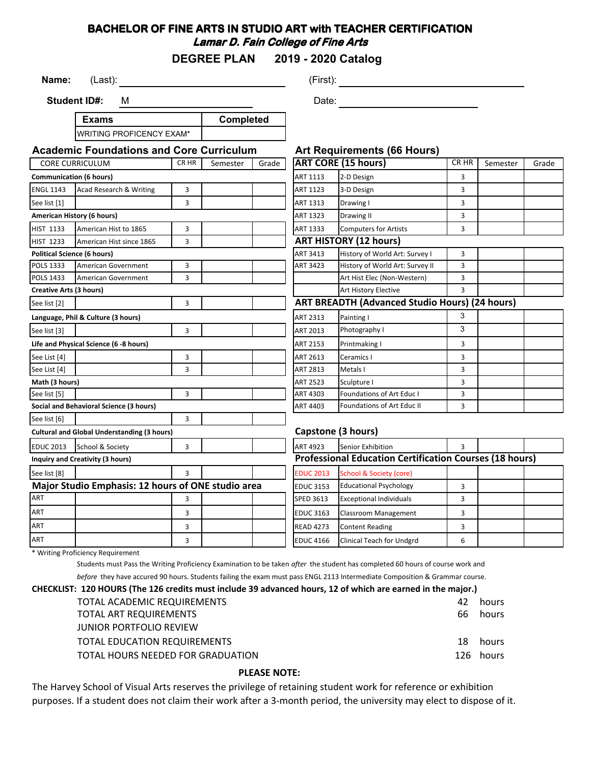## **BACHELOR OF FINE ARTS IN STUDIO ART with TEACHER CERTIFICATION Lamar D. Fain College of Fine Arts**

**DEGREE PLAN 2019 - 2020 Catalog**

**Name:** (Last): (Example 1991) (First): (First): (First): (First): (First): (First): (First): (First): (First): (First): (First): (First): (First): (First): (First): (First): (First): (First): (First): (First): (First): (F

**Student ID#:** M

**Exams** WRITING PROFICENCY EXAM\* **Completed**

Date: **Date:** 

| <b>Academic Foundations and Core Curriculum</b>    |                                        |       | <b>Art Requirements (66 Hours)</b> |                                                                |                                                       |                                    |   |          |       |
|----------------------------------------------------|----------------------------------------|-------|------------------------------------|----------------------------------------------------------------|-------------------------------------------------------|------------------------------------|---|----------|-------|
| <b>CORE CURRICULUM</b>                             |                                        | CR HR | Semester<br>Grade                  |                                                                |                                                       | <b>ART CORE (15 hours)</b>         |   | Semester | Grade |
| <b>Communication (6 hours)</b>                     |                                        |       |                                    |                                                                | ART 1113                                              | 2-D Design                         | 3 |          |       |
| <b>ENGL 1143</b>                                   | Acad Research & Writing                | 3     |                                    |                                                                | ART 1123                                              | 3-D Design                         | 3 |          |       |
| See list [1]                                       |                                        | 3     |                                    |                                                                | ART 1313                                              | Drawing I                          | 3 |          |       |
| American History (6 hours)                         |                                        |       | ART 1323                           | Drawing II                                                     | 3                                                     |                                    |   |          |       |
| <b>HIST 1133</b>                                   | American Hist to 1865                  | 3     |                                    |                                                                | ART 1333                                              | <b>Computers for Artists</b>       | 3 |          |       |
| <b>HIST 1233</b>                                   | American Hist since 1865               | 3     |                                    |                                                                | <b>ART HISTORY (12 hours)</b>                         |                                    |   |          |       |
| <b>Political Science (6 hours)</b>                 |                                        |       |                                    |                                                                | ART 3413                                              | History of World Art: Survey I     | 3 |          |       |
| POLS 1333                                          | American Government                    | 3     |                                    |                                                                | ART 3423                                              | History of World Art: Survey II    | 3 |          |       |
| <b>POLS 1433</b>                                   | <b>American Government</b>             | 3     |                                    |                                                                |                                                       | Art Hist Elec (Non-Western)        | 3 |          |       |
| <b>Creative Arts (3 hours)</b>                     |                                        |       |                                    | Art History Elective                                           | $\mathbf{R}$                                          |                                    |   |          |       |
| See list [2]                                       |                                        | 3     |                                    |                                                                | <b>ART BREADTH (Advanced Studio Hours) (24 hours)</b> |                                    |   |          |       |
| Language, Phil & Culture (3 hours)                 |                                        |       | ART 2313                           | Painting I                                                     | 3                                                     |                                    |   |          |       |
| See list [3]                                       |                                        | 3     |                                    |                                                                | ART 2013                                              | Photography I                      | 3 |          |       |
|                                                    | Life and Physical Science (6 -8 hours) |       |                                    |                                                                | ART 2153                                              | 3<br>Printmaking I                 |   |          |       |
| See List [4]                                       |                                        | 3     |                                    |                                                                | ART 2613                                              | Ceramics I                         | 3 |          |       |
| See List [4]                                       |                                        | 3     |                                    |                                                                | ART 2813                                              | Metals I                           | 3 |          |       |
| Math (3 hours)                                     |                                        |       |                                    | <b>ART 2523</b>                                                | 3<br>Sculpture I                                      |                                    |   |          |       |
| See list [5]                                       |                                        | 3     |                                    |                                                                | ART 4303                                              | Foundations of Art Educ I          | 3 |          |       |
| Social and Behavioral Science (3 hours)            |                                        |       | ART 4403                           | Foundations of Art Educ II                                     |                                                       |                                    |   |          |       |
| 3<br>See list [6]                                  |                                        |       |                                    |                                                                |                                                       |                                    |   |          |       |
| <b>Cultural and Global Understanding (3 hours)</b> |                                        |       |                                    | Capstone (3 hours)                                             |                                                       |                                    |   |          |       |
| <b>EDUC 2013</b>                                   | School & Society                       | 3     |                                    |                                                                | <b>ART 4923</b>                                       | Senior Exhibition                  | 3 |          |       |
| <b>Inquiry and Creativity (3 hours)</b>            |                                        |       |                                    | <b>Professional Education Certification Courses (18 hours)</b> |                                                       |                                    |   |          |       |
| See list [8]                                       |                                        | 3     |                                    |                                                                | <b>EDUC 2013</b>                                      | <b>School &amp; Society (core)</b> |   |          |       |
| Major Studio Emphasis: 12 hours of ONE studio area |                                        |       |                                    | <b>EDUC 3153</b>                                               | <b>Educational Psychology</b>                         | 3                                  |   |          |       |
| ART                                                |                                        | 3     |                                    |                                                                | <b>SPED 3613</b>                                      | <b>Exceptional Individuals</b>     | 3 |          |       |
| ART                                                |                                        | 3     |                                    |                                                                | <b>EDUC 3163</b>                                      | Classroom Management               | 3 |          |       |
| ART                                                |                                        | 3     |                                    |                                                                | <b>READ 4273</b>                                      | <b>Content Reading</b>             | 3 |          |       |
| <b>ART</b>                                         |                                        | 3     |                                    |                                                                | <b>EDUC 4166</b>                                      | Clinical Teach for Undgrd          | 6 |          |       |

\* Writing Proficiency Requirement

Students must Pass the Writing Proficiency Examination to be taken *after* the student has completed 60 hours of course work and

*before* they have accured 90 hours. Students failing the exam must pass ENGL 2113 Intermediate Composition & Grammar course.

#### **CHECKLIST: 120 HOURS (The 126 credits must include 39 advanced hours, 12 of which are earned in the major.)**

| TOTAL ACADEMIC REQUIREMENTS         | 42. | hours     |
|-------------------------------------|-----|-----------|
| TOTAL ART REQUIREMENTS              | 66. | hours     |
| <b>JUNIOR PORTFOLIO REVIEW</b>      |     |           |
| <b>TOTAL EDUCATION REQUIREMENTS</b> |     | 18 hours  |
| TOTAL HOURS NEEDED FOR GRADUATION   |     | 126 hours |
|                                     |     |           |

#### **PLEASE NOTE:**

The Harvey School of Visual Arts reserves the privilege of retaining student work for reference or exhibition purposes. If a student does not claim their work after a 3-month period, the university may elect to dispose of it.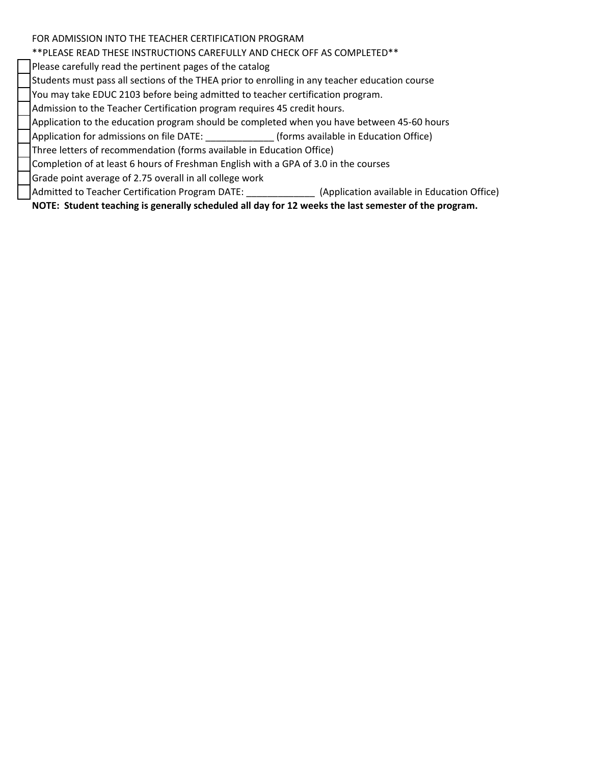### FOR ADMISSION INTO THE TEACHER CERTIFICATION PROGRAM

# \*\*PLEASE READ THESE INSTRUCTIONS CAREFULLY AND CHECK OFF AS COMPLETED\*\*

Please carefully read the pertinent pages of the catalog

Students must pass all sections of the THEA prior to enrolling in any teacher education course

You may take EDUC 2103 before being admitted to teacher certification program.

Admission to the Teacher Certification program requires 45 credit hours.

Application to the education program should be completed when you have between 45-60 hours

Application for admissions on file DATE: \_\_\_\_\_\_\_\_\_\_\_\_\_ (forms available in Education Office)

Three letters of recommendation (forms available in Education Office)

Completion of at least 6 hours of Freshman English with a GPA of 3.0 in the courses

Grade point average of 2.75 overall in all college work

Admitted to Teacher Certification Program DATE: [13] (Application available in Education Office)

**NOTE: Student teaching is generally scheduled all day for 12 weeks the last semester of the program.**